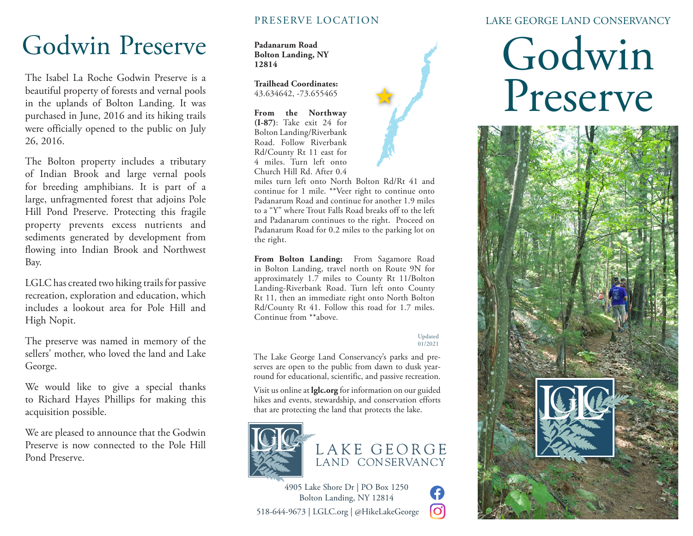## Godwin Preserve

The Isabel La Roche Godwin Preserve is a beautiful property of forests and vernal pools in the uplands of Bolton Landing. It was purchased in June, 2016 and its hiking trails were officially opened to the public on July 26, 2016.

The Bolton property includes a tributary of Indian Brook and large vernal pools for breeding amphibians. It is part of a large, unfragmented forest that adjoins Pole Hill Pond Preserve. Protecting this fragile property prevents excess nutrients and sediments generated by development from flowing into Indian Brook and Northwest Bay.

LGLC has created two hiking trails for passive recreation, exploration and education, which includes a lookout area for Pole Hill and High Nopit.

The preserve was named in memory of the sellers' mother, who loved the land and Lake George.

We would like to give a special thanks to Richard Hayes Phillips for making this acquisition possible.

We are pleased to announce that the Godwin Preserve is now connected to the Pole Hill Pond Preserve.

### PRESERVE LOCATION

**Padanarum Road Bolton Landing, NY 12814**

**Trailhead Coordinates:** 43.634642, -73.655465

**From the Northway (I-87)**: Take exit 24 for Bolton Landing/Riverbank Road. Follow Riverbank Rd/County Rt 11 east for 4 miles. Turn left onto Church Hill Rd. After 0.4



miles turn left onto North Bolton Rd/Rt 41 and continue for 1 mile. \*\*Veer right to continue onto Padanarum Road and continue for another 1.9 miles to a "Y" where Trout Falls Road breaks off to the left and Padanarum continues to the right. Proceed on Padanarum Road for 0.2 miles to the parking lot on the right.

**From Bolton Landing:** From Sagamore Road in Bolton Landing, travel north on Route 9N for approximately 1.7 miles to County Rt 11/Bolton Landing-Riverbank Road. Turn left onto County Rt 11, then an immediate right onto North Bolton Rd/County Rt 41. Follow this road for 1.7 miles. Continue from \*\*above.

#### Updated 01/2021

G တြ

The Lake George Land Conservancy's parks and preserves are open to the public from dawn to dusk yearround for educational, scientific, and passive recreation.

Visit us online at **lglc.org** for information on our guided hikes and events, stewardship, and conservation efforts that are protecting the land that protects the lake.



### LAKE GEORGE LAND CONSERVANCY

# Godwin Preserve